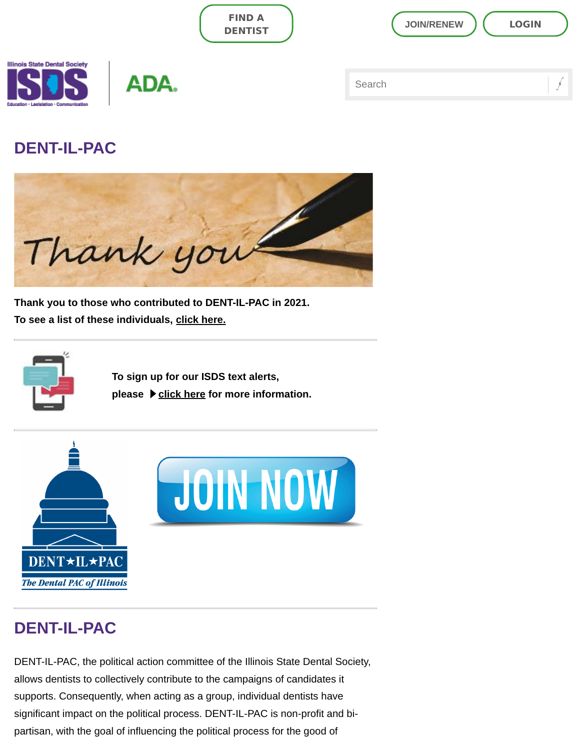| <b>FIND A</b>  | <b>LOGIN</b>      |
|----------------|-------------------|
| <b>DENTIST</b> | <b>JOIN/RENEW</b> |
|                | Search            |

## DENT-IL-PAC

**Illinois State Dental Society** 



Thank you to those who contributed to DENT-IL-PAC in 2021. To see a list of these individuals, [click here.](https://www.isds.org/docs/librariesprovider3/default-document-library/2021-dent-il-pac-members.pdf?sfvrsn=7e30fa8a_0)



To sign up for our ISDS text alerts, please  $\blacktriangleright$  [click here](https://www.isds.org/docs/librariesprovider3/default-document-library/textalertinstructions5mb.pdf?sfvrsn=5f037f8a_4) for more information.



# DENT-IL-PAC

DENT-IL-PAC, the political action committee of the Illinois State Dental Society, allows dentists to collectively contribute to the campaigns of candidates it supports. Consequently, when acting as a group, individual dentists have significant impact on the political process. DENT-IL-PAC is non-profit and bipartisan, with the goal of influencing the political process for the good of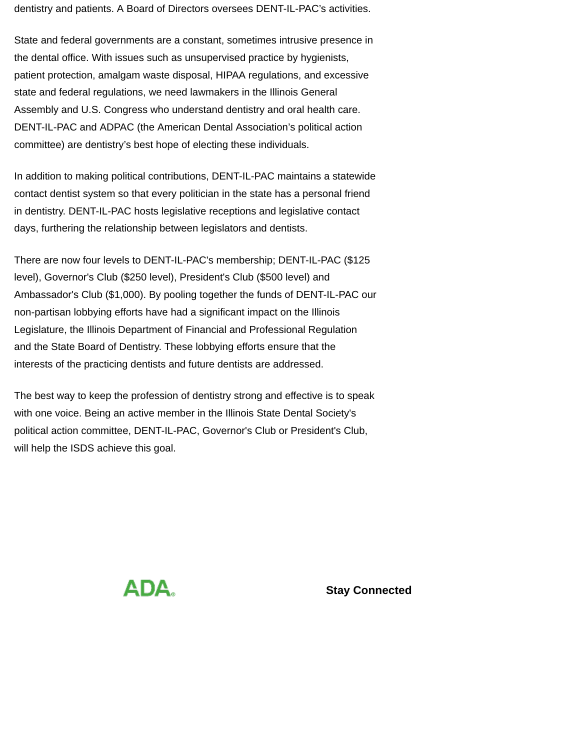dentistry and patients. A Board of Directors oversees DENT-IL-PAC's activities.

State and federal governments are a constant, sometimes intrusive presence in the dental office. With issues such as unsupervised practice by hygienists, patient protection, amalgam waste disposal, HIPAA regulations, and excessive state and federal regulations, we need lawmakers in the Illinois General Assembly and U.S. Congress who understand dentistry and oral health care. DENT-IL-PAC and ADPAC (the American Dental Association's political action committee) are dentistry's best hope of electing these individuals.

In addition to making political contributions, DENT-IL-PAC maintains a statewide contact dentist system so that every politician in the state has a personal friend in dentistry. DENT-IL-PAC hosts legislative receptions and legislative contact days, furthering the relationship between legislators and dentists.

There are now four levels to DENT-IL-PAC's membership; DENT-IL-PAC (\$125 level), Governor's Club (\$250 level), President's Club (\$500 level) and Ambassador's Club (\$1,000). By pooling together the funds of DENT-IL-PAC our non-partisan lobbying efforts have had a significant impact on the Illinois Legislature, the Illinois Department of Financial and Professional Regulation and the State Board of Dentistry. These lobbying efforts ensure that the interests of the practicing dentists and future dentists are addressed.

The best way to keep the profession of dentistry strong and effective is to speak with one voice. Being an active member in the Illinois State Dental Society's political action committee, DENT-IL-PAC, Governor's Club or President's Club, will help the ISDS achieve this goal.



Stay Connected